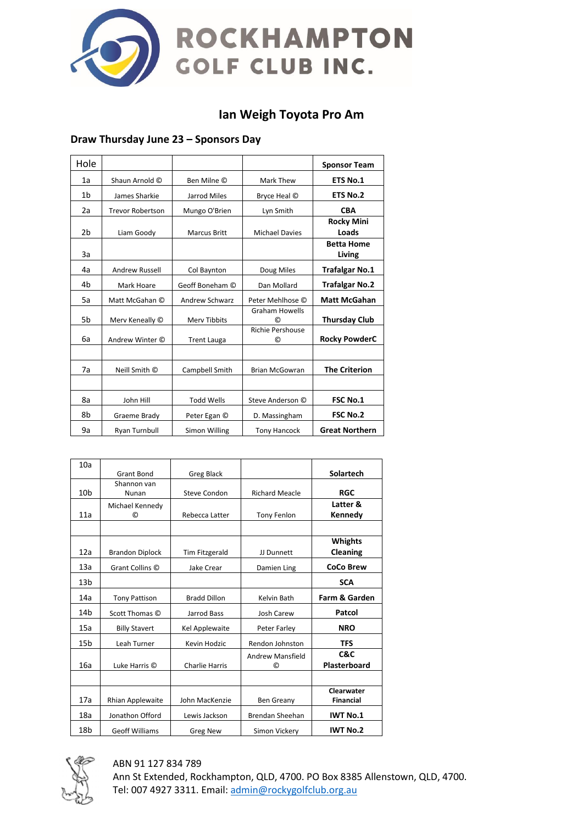

# **Ian Weigh Toyota Pro Am**

# **Draw Thursday June 23 – Sponsors Day**

| Hole           |                         |                       |                                    | <b>Sponsor Team</b>         |
|----------------|-------------------------|-----------------------|------------------------------------|-----------------------------|
| 1a             | Shaun Arnold C          | Ben Milne ©           | Mark Thew                          | <b>ETS No.1</b>             |
| 1 <sub>b</sub> | James Sharkie           | Jarrod Miles          | Bryce Heal ©                       | <b>ETS No.2</b>             |
| 2a             | <b>Trevor Robertson</b> | Mungo O'Brien         | Lyn Smith                          | <b>CBA</b>                  |
| 2b             | Liam Goody              | <b>Marcus Britt</b>   | <b>Michael Davies</b>              | <b>Rocky Mini</b><br>Loads  |
| 3a             |                         |                       |                                    | <b>Betta Home</b><br>Living |
| 4a             | <b>Andrew Russell</b>   | Col Baynton           | Doug Miles                         | <b>Trafalgar No.1</b>       |
| 4b             | Mark Hoare              | Geoff Boneham ©       | Dan Mollard                        | <b>Trafalgar No.2</b>       |
| 5a             | Matt McGahan ©          | <b>Andrew Schwarz</b> | Peter Mehlhose ©                   | <b>Matt McGahan</b>         |
| 5b             | Merv Keneally ©         | <b>Merv Tibbits</b>   | <b>Graham Howells</b><br>ര         | <b>Thursday Club</b>        |
| 6a             | Andrew Winter ©         | <b>Trent Lauga</b>    | <b>Richie Pershouse</b><br>$\odot$ | <b>Rocky PowderC</b>        |
|                |                         |                       |                                    |                             |
| 7a             | Neill Smith ©           | Campbell Smith        | <b>Brian McGowran</b>              | <b>The Criterion</b>        |
|                |                         |                       |                                    |                             |
| 8a             | John Hill               | <b>Todd Wells</b>     | Steve Anderson ©                   | <b>FSC No.1</b>             |
| 8b             | Graeme Brady            | Peter Egan ©          | D. Massingham                      | <b>FSC No.2</b>             |
| 9a             | Ryan Turnbull           | Simon Willing         | <b>Tony Hancock</b>                | <b>Great Northern</b>       |

| 10a             |                        |                       |                         |                          |
|-----------------|------------------------|-----------------------|-------------------------|--------------------------|
|                 | <b>Grant Bond</b>      | <b>Greg Black</b>     |                         | Solartech                |
|                 | Shannon van            |                       |                         |                          |
| 10 <sub>b</sub> | Nunan                  | <b>Steve Condon</b>   | <b>Richard Meacle</b>   | <b>RGC</b>               |
|                 | Michael Kennedy        |                       |                         | Latter &                 |
| 11a             | O)                     | Rebecca Latter        | <b>Tony Fenlon</b>      | Kennedy                  |
|                 |                        |                       |                         |                          |
|                 |                        |                       |                         |                          |
|                 |                        |                       |                         | <b>Whights</b>           |
| 12a             | <b>Brandon Diplock</b> | Tim Fitzgerald        | JJ Dunnett              | Cleaning                 |
| 13a             |                        |                       |                         | <b>CoCo Brew</b>         |
|                 | Grant Collins ©        | Jake Crear            | Damien Ling             |                          |
| 13 <sub>b</sub> |                        |                       |                         | <b>SCA</b>               |
| 14a             | <b>Tony Pattison</b>   | <b>Bradd Dillon</b>   | Kelvin Bath             | <b>Farm &amp; Garden</b> |
| 14b             | Scott Thomas ©         | Jarrod Bass           | <b>Josh Carew</b>       | Patcol                   |
| 15a             | <b>Billy Stavert</b>   | Kel Applewaite        | Peter Farley            | <b>NRO</b>               |
| 15 <sub>b</sub> | Leah Turner            | Kevin Hodzic          | Rendon Johnston         | <b>TFS</b>               |
|                 |                        |                       | <b>Andrew Mansfield</b> | C&C                      |
| 16a             | Luke Harris ©          | <b>Charlie Harris</b> | $\odot$                 | <b>Plasterboard</b>      |
|                 |                        |                       |                         |                          |
|                 |                        |                       |                         | Clearwater               |
| 17a             | Rhian Applewaite       | John MacKenzie        | Ben Greany              | <b>Financial</b>         |
|                 |                        |                       |                         |                          |
| 18a             | Jonathon Offord        | Lewis Jackson         | <b>Brendan Sheehan</b>  | <b>IWT No.1</b>          |
| 18 <sub>b</sub> | <b>Geoff Williams</b>  | <b>Greg New</b>       | Simon Vickery           | <b>IWT No.2</b>          |



#### ABN 91 127 834 789

Ann St Extended, Rockhampton, QLD, 4700. PO Box 8385 Allenstown, QLD, 4700. Tel: 007 4927 3311. Email[: admin@rockygolfclub.org.au](mailto:admin@rockygolfclub.org.au)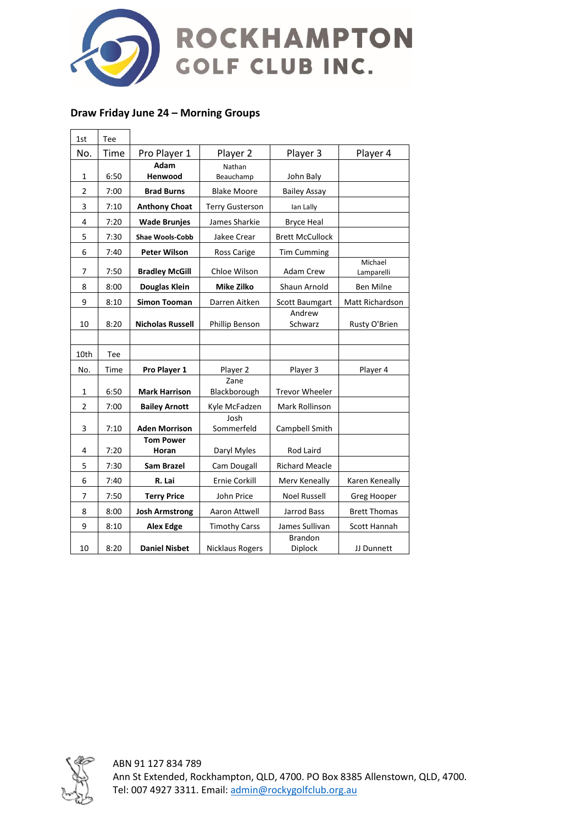

# **Draw Friday June 24 – Morning Groups**

 $\mathbf{r}$ 

 $\overline{\phantom{a}}$ 

| 1st            | Tee  |                           |                        |                        |                       |
|----------------|------|---------------------------|------------------------|------------------------|-----------------------|
| No.            | Time | Pro Player 1              | Player 2               | Player 3               | Player 4              |
|                |      | Adam                      | Nathan                 |                        |                       |
| 1              | 6:50 | Henwood                   | Beauchamp              | John Baly              |                       |
| $\overline{2}$ | 7:00 | <b>Brad Burns</b>         | <b>Blake Moore</b>     | <b>Bailey Assay</b>    |                       |
| 3              | 7:10 | <b>Anthony Choat</b>      | <b>Terry Gusterson</b> | Ian Lally              |                       |
| 4              | 7:20 | <b>Wade Brunjes</b>       | James Sharkie          | <b>Bryce Heal</b>      |                       |
| 5              | 7:30 | <b>Shae Wools-Cobb</b>    | Jakee Crear            | <b>Brett McCullock</b> |                       |
| 6              | 7:40 | <b>Peter Wilson</b>       | Ross Carige            | <b>Tim Cumming</b>     |                       |
| 7              | 7:50 | <b>Bradley McGill</b>     | Chloe Wilson           | <b>Adam Crew</b>       | Michael<br>Lamparelli |
| 8              | 8:00 | Douglas Klein             | Mike Zilko             | Shaun Arnold           | <b>Ben Milne</b>      |
| 9              | 8:10 | <b>Simon Tooman</b>       | Darren Aitken          | Scott Baumgart         | Matt Richardson       |
| 10             | 8:20 | <b>Nicholas Russell</b>   | Phillip Benson         | Andrew<br>Schwarz      | Rusty O'Brien         |
|                |      |                           |                        |                        |                       |
| 10th           | Tee  |                           |                        |                        |                       |
| No.            | Time | Pro Player 1              | Player 2               | Player 3               | Player 4              |
|                |      |                           | Zane                   |                        |                       |
| 1              | 6:50 | <b>Mark Harrison</b>      | Blackborough           | <b>Trevor Wheeler</b>  |                       |
| $\overline{2}$ | 7:00 | <b>Bailey Arnott</b>      | Kyle McFadzen          | Mark Rollinson         |                       |
| 3              | 7:10 | <b>Aden Morrison</b>      | Josh<br>Sommerfeld     | Campbell Smith         |                       |
| 4              | 7:20 | <b>Tom Power</b><br>Horan | Daryl Myles            | Rod Laird              |                       |
| 5              | 7:30 | <b>Sam Brazel</b>         | Cam Dougall            | <b>Richard Meacle</b>  |                       |
| 6              | 7:40 | R. Lai                    | <b>Ernie Corkill</b>   | Merv Keneally          | Karen Keneally        |
|                |      |                           |                        |                        |                       |
| 7              | 7:50 | <b>Terry Price</b>        | John Price             | <b>Noel Russell</b>    | Greg Hooper           |
| 8              | 8:00 | <b>Josh Armstrong</b>     | Aaron Attwell          | Jarrod Bass            | <b>Brett Thomas</b>   |
| 9              | 8:10 | <b>Alex Edge</b>          | <b>Timothy Carss</b>   | James Sullivan         | Scott Hannah          |

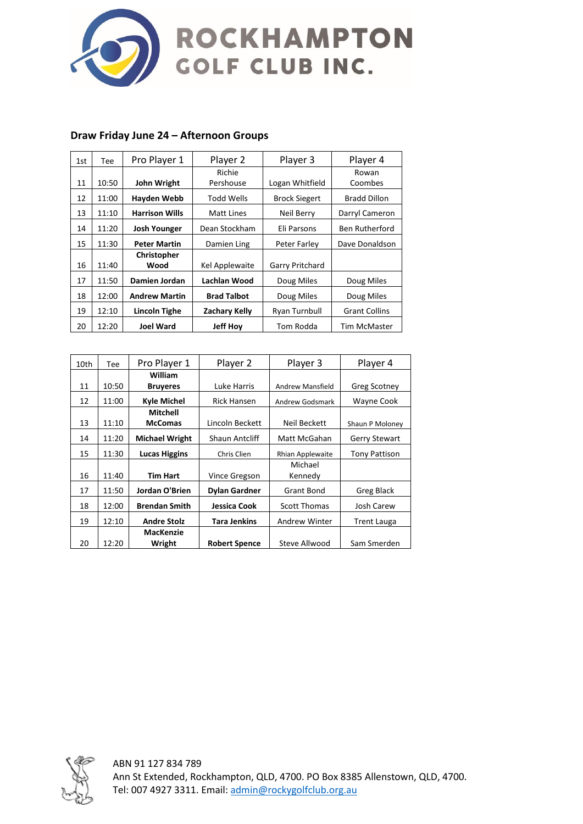

| 1st | Tee   | Pro Player 1          | Player 2             | Player 3             | Player 4              |
|-----|-------|-----------------------|----------------------|----------------------|-----------------------|
|     |       |                       | Richie               |                      | Rowan                 |
| 11  | 10:50 | John Wright           | Pershouse            | Logan Whitfield      | Coombes               |
| 12  | 11:00 | Hayden Webb           | <b>Todd Wells</b>    | <b>Brock Siegert</b> | <b>Bradd Dillon</b>   |
| 13  | 11:10 | <b>Harrison Wills</b> | Matt Lines           | Neil Berry           | Darryl Cameron        |
| 14  | 11:20 | <b>Josh Younger</b>   | Dean Stockham        | Eli Parsons          | <b>Ben Rutherford</b> |
| 15  | 11:30 | <b>Peter Martin</b>   | Damien Ling          | Peter Farley         | Dave Donaldson        |
|     |       | Christopher           |                      |                      |                       |
| 16  | 11:40 | Wood                  | Kel Applewaite       | Garry Pritchard      |                       |
| 17  | 11:50 | Damien Jordan         | Lachlan Wood         | Doug Miles           | Doug Miles            |
| 18  | 12:00 | <b>Andrew Martin</b>  | <b>Brad Talbot</b>   | Doug Miles           | Doug Miles            |
| 19  | 12:10 | Lincoln Tighe         | <b>Zachary Kelly</b> | Ryan Turnbull        | <b>Grant Collins</b>  |
| 20  | 12:20 | <b>Joel Ward</b>      | <b>Jeff Hoy</b>      | Tom Rodda            | <b>Tim McMaster</b>   |

### **Draw Friday June 24 – Afternoon Groups**

| 10th | Tee.  | Pro Player 1          | Player 2              | Player 3                | Player 4             |
|------|-------|-----------------------|-----------------------|-------------------------|----------------------|
|      |       | William               |                       |                         |                      |
| 11   | 10:50 | <b>Bruveres</b>       | Luke Harris           | <b>Andrew Mansfield</b> | Greg Scotney         |
| 12   | 11:00 | Kyle Michel           | <b>Rick Hansen</b>    | Andrew Godsmark         | Wayne Cook           |
|      |       | Mitchell              |                       |                         |                      |
| 13   | 11:10 | <b>McComas</b>        | Lincoln Beckett       | Neil Beckett            | Shaun P Moloney      |
| 14   | 11:20 | <b>Michael Wright</b> | <b>Shaun Antcliff</b> | Matt McGahan            | <b>Gerry Stewart</b> |
| 15   | 11:30 | <b>Lucas Higgins</b>  | Chris Clien           | Rhian Applewaite        | <b>Tony Pattison</b> |
|      |       |                       |                       | Michael                 |                      |
| 16   | 11:40 | <b>Tim Hart</b>       | <b>Vince Gregson</b>  | Kennedy                 |                      |
| 17   | 11:50 | Jordan O'Brien        | Dylan Gardner         | <b>Grant Bond</b>       | Greg Black           |
| 18   | 12:00 | <b>Brendan Smith</b>  | Jessica Cook          | <b>Scott Thomas</b>     | Josh Carew           |
| 19   | 12:10 | <b>Andre Stolz</b>    | Tara Jenkins          | Andrew Winter           | <b>Trent Lauga</b>   |
|      |       | <b>MacKenzie</b>      |                       |                         |                      |
| 20   | 12:20 | Wright                | <b>Robert Spence</b>  | Steve Allwood           | Sam Smerden          |



ABN 91 127 834 789 Ann St Extended, Rockhampton, QLD, 4700. PO Box 8385 Allenstown, QLD, 4700. Tel: 007 4927 3311. Email[: admin@rockygolfclub.org.au](mailto:admin@rockygolfclub.org.au)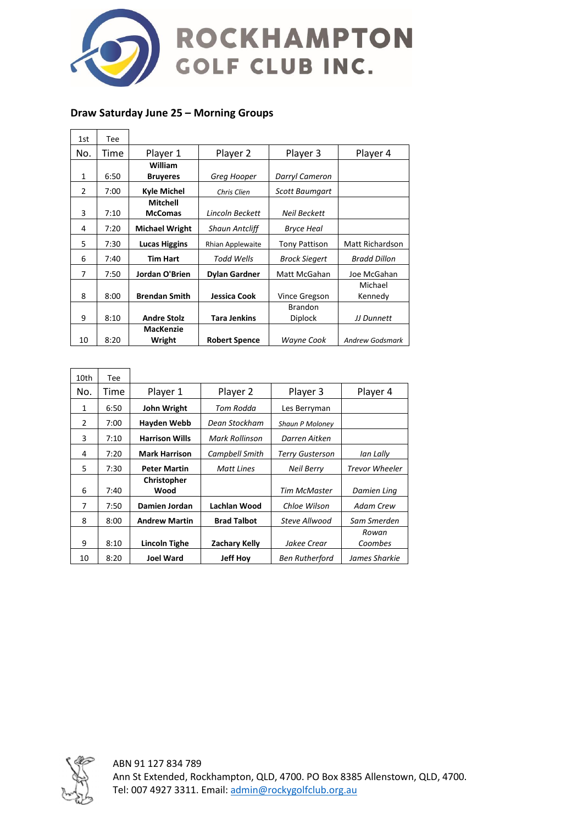

# **Draw Saturday June 25 – Morning Groups**

 $\mathbf{r}$ 

 $\overline{\phantom{0}}$ 

 $\overline{\phantom{a}}$ 

 $\overline{\phantom{0}}$ 

| 1st           | Tee  |                       |                       |                       |                        |
|---------------|------|-----------------------|-----------------------|-----------------------|------------------------|
| No.           | Time | Player 1              | Player 2              | Player 3              | Player 4               |
|               |      | William               |                       |                       |                        |
| $\mathbf{1}$  | 6:50 | <b>Bruyeres</b>       | Greg Hooper           | Darryl Cameron        |                        |
| $\mathcal{P}$ | 7:00 | Kyle Michel           | Chris Clien           | <b>Scott Baumgart</b> |                        |
|               |      | Mitchell              |                       |                       |                        |
| 3             | 7:10 | <b>McComas</b>        | Lincoln Beckett       | Neil Beckett          |                        |
| 4             | 7:20 | <b>Michael Wright</b> | <b>Shaun Antcliff</b> | <b>Bryce Heal</b>     |                        |
| 5             | 7:30 | <b>Lucas Higgins</b>  | Rhian Applewaite      | Tony Pattison         | Matt Richardson        |
| 6             | 7:40 | Tim Hart              | Todd Wells            | <b>Brock Siegert</b>  | <b>Bradd Dillon</b>    |
| 7             | 7:50 | Jordan O'Brien        | <b>Dylan Gardner</b>  | Matt McGahan          | Joe McGahan            |
|               |      |                       |                       |                       | Michael                |
| 8             | 8:00 | <b>Brendan Smith</b>  | Jessica Cook          | Vince Gregson         | Kennedy                |
|               |      |                       |                       | <b>Brandon</b>        |                        |
| 9             | 8:10 | <b>Andre Stolz</b>    | <b>Tara Jenkins</b>   | <b>Diplock</b>        | JJ Dunnett             |
|               |      | MacKenzie             |                       |                       |                        |
| 10            | 8:20 | Wright                | <b>Robert Spence</b>  | Wayne Cook            | <b>Andrew Godsmark</b> |

| 10th | Tee  |                       |                      |                        |                       |
|------|------|-----------------------|----------------------|------------------------|-----------------------|
| No.  | Time | Player 1              | Player 2             | Player 3               | Player 4              |
| 1    | 6:50 | John Wright           | Tom Rodda            | Les Berryman           |                       |
| 2    | 7:00 | Hayden Webb           | Dean Stockham        | <b>Shaun P Moloney</b> |                       |
| 3    | 7:10 | <b>Harrison Wills</b> | Mark Rollinson       | Darren Aitken          |                       |
| 4    | 7:20 | <b>Mark Harrison</b>  | Campbell Smith       | Terry Gusterson        | lan Lally             |
| 5    | 7:30 | <b>Peter Martin</b>   | <b>Matt Lines</b>    | <b>Neil Berry</b>      | <b>Trevor Wheeler</b> |
|      |      | Christopher           |                      |                        |                       |
| 6    | 7:40 | Wood                  |                      | Tim McMaster           | Damien Ling           |
| 7    | 7:50 | Damien Jordan         | Lachlan Wood         | Chloe Wilson           | Adam Crew             |
| 8    | 8:00 | <b>Andrew Martin</b>  | <b>Brad Talbot</b>   | Steve Allwood          | Sam Smerden           |
|      |      |                       |                      |                        | Rowan                 |
| 9    | 8:10 | Lincoln Tighe         | <b>Zachary Kelly</b> | Jakee Crear            | Coombes               |
| 10   | 8:20 | <b>Joel Ward</b>      | <b>Jeff Hoy</b>      | <b>Ben Rutherford</b>  | James Sharkie         |



ABN 91 127 834 789 Ann St Extended, Rockhampton, QLD, 4700. PO Box 8385 Allenstown, QLD, 4700. Tel: 007 4927 3311. Email[: admin@rockygolfclub.org.au](mailto:admin@rockygolfclub.org.au)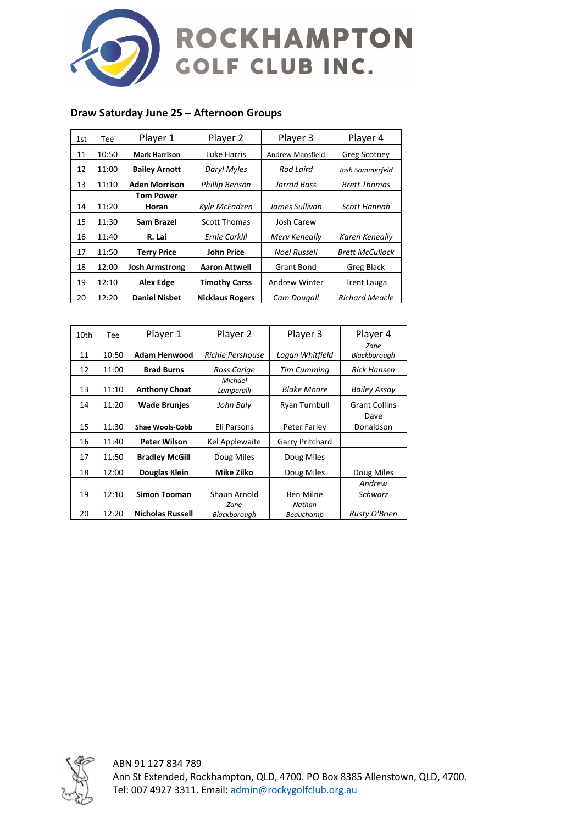

# **Draw Saturday June 25 – Afternoon Groups**

| 1st | Tee   | Player 1              | Player 2               | Player 3             | Player 4               |
|-----|-------|-----------------------|------------------------|----------------------|------------------------|
| 11  | 10:50 | <b>Mark Harrison</b>  | Luke Harris            | Andrew Mansfield     | <b>Greg Scotney</b>    |
| 12  | 11:00 | <b>Bailey Arnott</b>  | Daryl Myles            | Rod Laird            | Josh Sommerfeld        |
| 13  | 11:10 | <b>Aden Morrison</b>  | <b>Phillip Benson</b>  | Jarrod Bass          | <b>Brett Thomas</b>    |
| 14  | 11:20 | Tom Power<br>Horan    | Kyle McFadzen          | James Sullivan       | Scott Hannah           |
| 15  | 11:30 | Sam Brazel            | Scott Thomas           | Josh Carew           |                        |
| 16  | 11:40 | R. Lai                | Ernie Corkill          | Merv Keneally        | Karen Keneally         |
| 17  | 11:50 | <b>Terry Price</b>    | <b>John Price</b>      | <b>Noel Russell</b>  | <b>Brett McCullock</b> |
| 18  | 12:00 | <b>Josh Armstrong</b> | Aaron Attwell          | Grant Bond           | Greg Black             |
| 19  | 12:10 | Alex Edge             | <b>Timothy Carss</b>   | <b>Andrew Winter</b> | Trent Lauga            |
| 20  | 12:20 | <b>Daniel Nisbet</b>  | <b>Nicklaus Rogers</b> | Cam Dougall          | <b>Richard Meacle</b>  |

| 10th | Tee   | Player 1                | Player 2              | Player 3           | Player 4             |
|------|-------|-------------------------|-----------------------|--------------------|----------------------|
| 11   | 10:50 | <b>Adam Henwood</b>     | Richie Pershouse      | Logan Whitfield    | Zane<br>Blackborough |
| 12   | 11:00 | <b>Brad Burns</b>       | Ross Carige           | <b>Tim Cumming</b> | <b>Rick Hansen</b>   |
| 13   | 11:10 | <b>Anthony Choat</b>    | Michael<br>Lamperalli | <b>Blake Moore</b> | <b>Bailey Assay</b>  |
| 14   | 11:20 | <b>Wade Brunjes</b>     | John Baly             | Ryan Turnbull      | <b>Grant Collins</b> |
| 15   | 11:30 | <b>Shae Wools-Cobb</b>  | Eli Parsons           | Peter Farley       | Dave<br>Donaldson    |
| 16   | 11:40 | <b>Peter Wilson</b>     | Kel Applewaite        | Garry Pritchard    |                      |
| 17   | 11:50 | <b>Bradley McGill</b>   | Doug Miles            | Doug Miles         |                      |
| 18   | 12:00 | Douglas Klein           | Mike Zilko            | Doug Miles         | Doug Miles           |
|      |       |                         |                       |                    | Andrew               |
| 19   | 12:10 | <b>Simon Tooman</b>     | Shaun Arnold          | Ben Milne          | Schwarz              |
|      |       |                         | Zane                  | Nathan             |                      |
| 20   | 12:20 | <b>Nicholas Russell</b> | Blackborough          | Beauchamp          | Rusty O'Brien        |



ABN 91 127 834 789 Ann St Extended, Rockhampton, QLD, 4700. PO Box 8385 Allenstown, QLD, 4700. Tel: 007 4927 3311. Email[: admin@rockygolfclub.org.au](mailto:admin@rockygolfclub.org.au)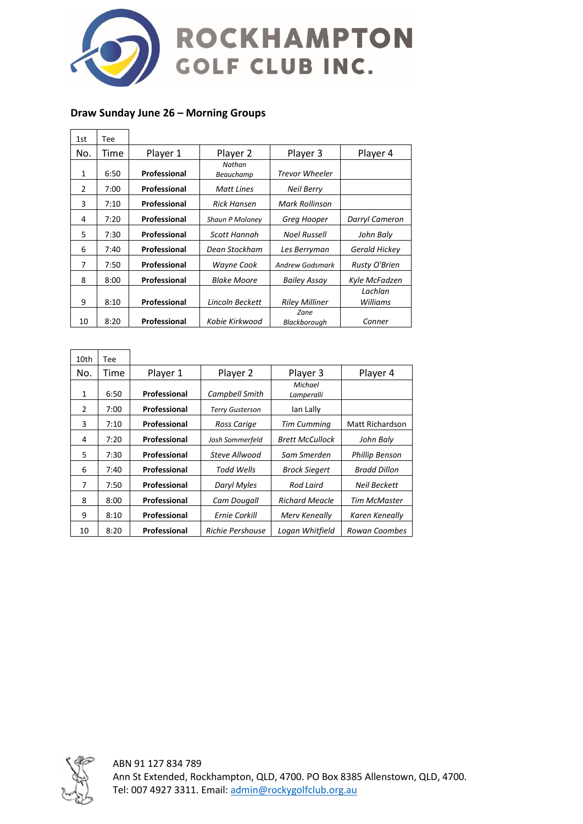

# **Draw Sunday June 26 – Morning Groups**

| 1st           | Tee  |              |                     |                       |                      |
|---------------|------|--------------|---------------------|-----------------------|----------------------|
| No.           | Time | Player 1     | Player 2            | Player 3              | Player 4             |
| 1             | 6:50 | Professional | Nathan<br>Beauchamp | <b>Trevor Wheeler</b> |                      |
| $\mathcal{P}$ | 7:00 | Professional | Matt Lines          | Neil Berry            |                      |
| 3             | 7:10 | Professional | Rick Hansen         | Mark Rollinson        |                      |
| 4             | 7:20 | Professional | Shaun P Moloney     | Greg Hooper           | Darryl Cameron       |
| 5             | 7:30 | Professional | Scott Hannah        | <b>Noel Russell</b>   | John Baly            |
| 6             | 7:40 | Professional | Dean Stockham       | Les Berryman          | <b>Gerald Hickey</b> |
| 7             | 7:50 | Professional | Wayne Cook          | Andrew Godsmark       | Rusty O'Brien        |
| 8             | 8:00 | Professional | Blake Moore         | <b>Bailey Assay</b>   | Kyle McFadzen        |
| 9             | 8:10 | Professional | Lincoln Beckett     | <b>Riley Milliner</b> | Lachlan<br>Williams  |
| 10            | 8:20 | Professional | Kobie Kirkwood      | Zane<br>Blackborough  | Conner               |

| 10th          | Tee  |              |                         |                        |                       |
|---------------|------|--------------|-------------------------|------------------------|-----------------------|
| No.           | Time | Player 1     | Player 2                | Player 3               | Player 4              |
| 1             | 6:50 | Professional | Campbell Smith          | Michael<br>Lamperalli  |                       |
| $\mathcal{P}$ | 7:00 | Professional | <b>Terry Gusterson</b>  | lan Lally              |                       |
| 3             | 7:10 | Professional | Ross Carige             | Tim Cumming            | Matt Richardson       |
| 4             | 7:20 | Professional | Josh Sommerfeld         | <b>Brett McCullock</b> | John Baly             |
| 5             | 7:30 | Professional | Steve Allwood           | Sam Smerden            | <b>Phillip Benson</b> |
| 6             | 7:40 | Professional | Todd Wells              | <b>Brock Siegert</b>   | <b>Bradd Dillon</b>   |
| 7             | 7:50 | Professional | Daryl Myles             | <b>Rod Laird</b>       | <b>Neil Beckett</b>   |
| 8             | 8:00 | Professional | Cam Dougall             | <b>Richard Meacle</b>  | <b>Tim McMaster</b>   |
| 9             | 8:10 | Professional | Ernie Corkill           | Merv Keneally          | Karen Keneally        |
| 10            | 8:20 | Professional | <b>Richie Pershouse</b> | Logan Whitfield        | Rowan Coombes         |